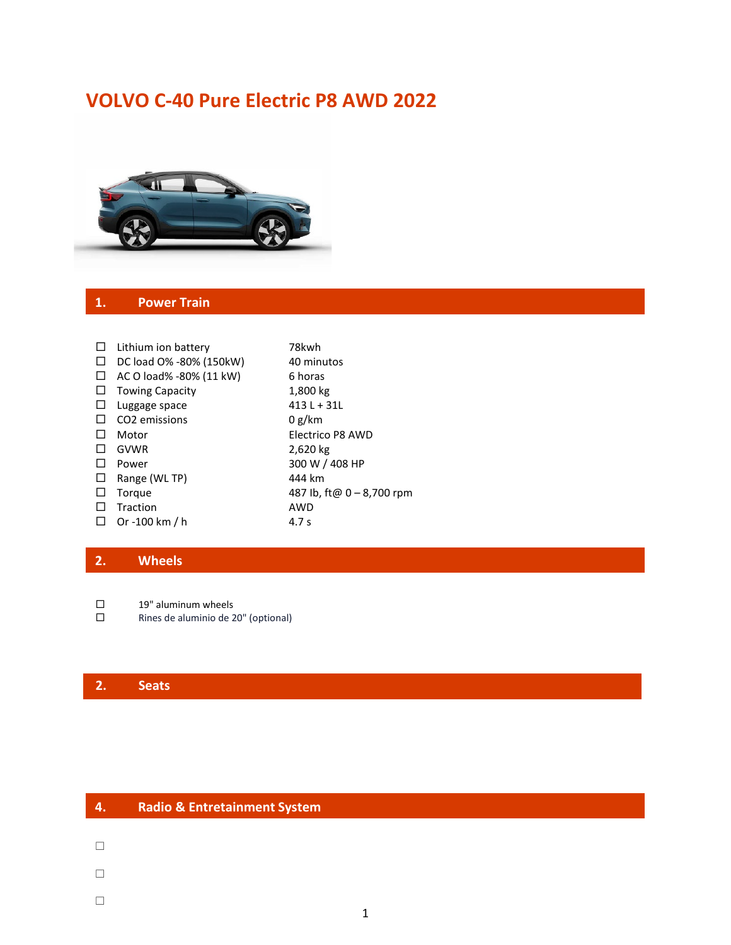# **VOLVO C-40 Pure Electric P8 AWD 2022**



#### **1. Power Train**

| □      | Lithium ion battery       | 78kwh                     |
|--------|---------------------------|---------------------------|
| ⊔      | DC load O% -80% (150kW)   | 40 minutos                |
| ⊔      | AC O load% -80% (11 kW)   | 6 horas                   |
| ⊔      | <b>Towing Capacity</b>    | 1,800 kg                  |
| ⊔      | Luggage space             | 413 L + 31L               |
| □      | CO <sub>2</sub> emissions | 0 g/km                    |
|        | Motor                     | Electrico P8 AWD          |
|        | GVWR                      | 2,620 kg                  |
| $\Box$ | Power                     | 300 W / 408 HP            |
| ⊔      | Range (WL TP)             | 444 km                    |
| $\Box$ | Torque                    | 487 lb, ft@ 0 - 8,700 rpm |
|        | Traction                  | <b>AWD</b>                |
| ⊔      | Or -100 km / h            | 4.7 s                     |
|        |                           |                           |

## **2. Wheels**

 $\square$  19" aluminum wheels<br> $\square$  Rines de aluminio de 2

Rines de aluminio de 20" (optional)

## **2. Seats**

| 4. | <b>Radio &amp; Entretainment System</b> |
|----|-----------------------------------------|
|    |                                         |
|    |                                         |
|    |                                         |
|    |                                         |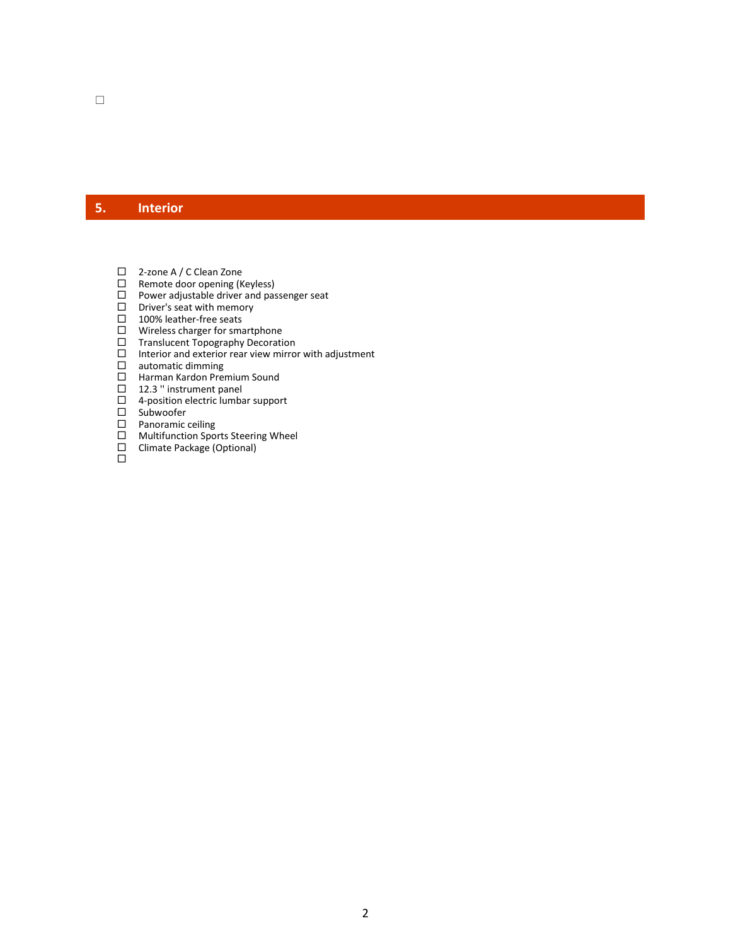## **5. Interior**

- □ 2-zone A / C Clean Zone
- □ Remote door opening (Keyless)
- $\Box$  Power adjustable driver and passenger seat
- $\square$  Driver's seat with memory
- □ 100% leather-free seats
- □ Wireless charger for smartphone
- □ Translucent Topography Decoration
- $\Box$  Interior and exterior rear view mirror with adjustment<br>  $\Box$  automatic dimming<br>  $\Box$  Harman Kardon Premium Sound
- automatic dimming
- Harman Kardon Premium Sound
- □ 12.3 " instrument panel
- $\Box$  4-position electric lumbar support
- $\square$  Subwoofer
- □ Panoramic ceiling
- □ Multifunction Sports Steering Wheel Climate Package (Optional)
- ō